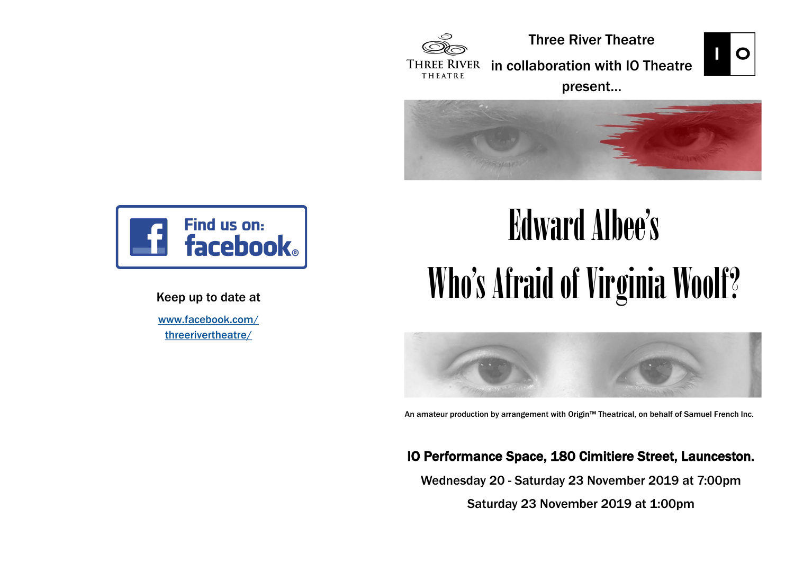

Three River Theatre



THREE RIVER in collaboration with IO Theatre THEATRE

present…





### Keep up to date at

[www.facebook.com/](https://www.facebook.com/threerivertheatre/) [threerivertheatre/](https://www.facebook.com/threerivertheatre/)

# Edward Albee's Who's Afraid of Virginia Woolf?



An amateur production by arrangement with Origin™ Theatrical, on behalf of Samuel French Inc.

### IO Performance Space, 180 Cimitiere Street, Launceston.

Wednesday 20 - Saturday 23 November 2019 at 7:00pm

Saturday 23 November 2019 at 1:00pm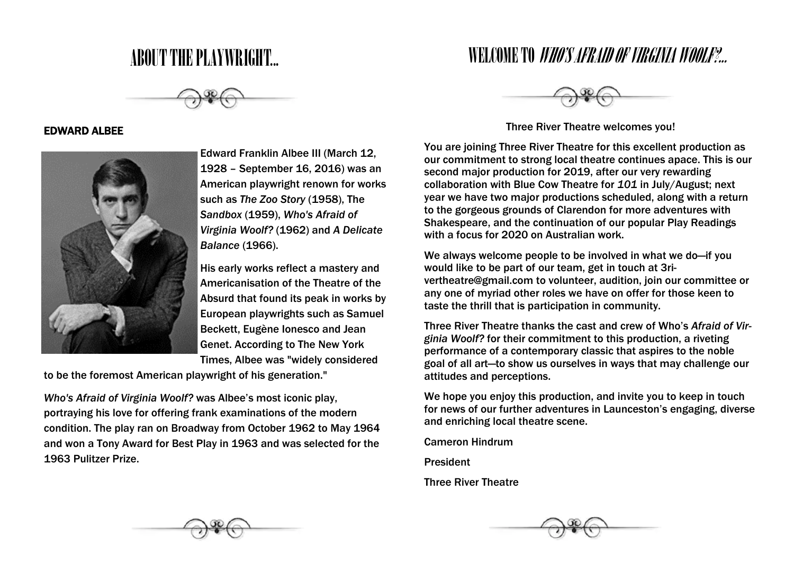### ABOUT THE PLAYWRIGHT...



#### EDWARD ALBEE



Edward Franklin Albee III (March 12, 1928 – September 16, 2016) was an American playwright renown for works such as *The Zoo Story* (1958), The *Sandbox* (1959), *Who's Afraid of Virginia Woolf?* (1962) and *A Delicate Balance* (1966).

His early works reflect a mastery and Americanisation of the Theatre of the Absurd that found its peak in works by European playwrights such as Samuel Beckett, Eugène Ionesco and Jean Genet. According to The New York Times, Albee was "widely considered

to be the foremost American playwright of his generation."

*Who's Afraid of Virginia Woolf?* was Albee's most iconic play, portraying his love for offering frank examinations of the modern condition. The play ran on Broadway from October 1962 to May 1964 and won a Tony Award for Best Play in 1963 and was selected for the 1963 Pulitzer Prize.

### WELCOME TO *WHO'S AFRAID OF VIRGINIA WOOLF?...*



Three River Theatre welcomes you!

You are joining Three River Theatre for this excellent production as our commitment to strong local theatre continues apace. This is our second major production for 2019, after our very rewarding collaboration with Blue Cow Theatre for *101* in July/August; next year we have two major productions scheduled, along with a return to the gorgeous grounds of Clarendon for more adventures with Shakespeare, and the continuation of our popular Play Readings with a focus for 2020 on Australian work.

We always welcome people to be involved in what we do—if you would like to be part of our team, get in touch at 3rivertheatre@gmail.com to volunteer, audition, join our committee or any one of myriad other roles we have on offer for those keen to taste the thrill that is participation in community.

Three River Theatre thanks the cast and crew of Who's *Afraid of Virginia Woolf?* for their commitment to this production, a riveting performance of a contemporary classic that aspires to the noble goal of all art—to show us ourselves in ways that may challenge our attitudes and perceptions.

We hope you enjoy this production, and invite you to keep in touch for news of our further adventures in Launceston's engaging, diverse and enriching local theatre scene.

Cameron Hindrum

President

Three River Theatre

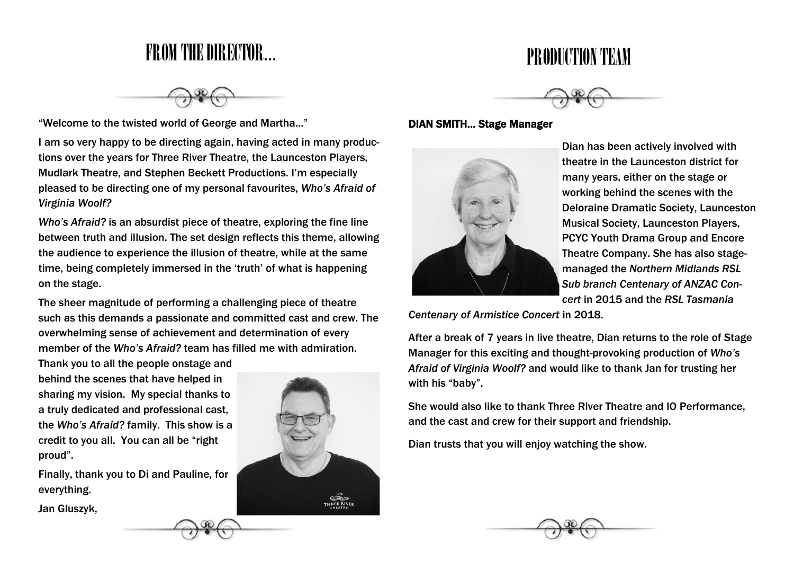### FROM THE DIRECTOR...

"Welcome to the twisted world of George and Martha…"

I am so very happy to be directing again, having acted in many productions over the years for Three River Theatre, the Launceston Players, Mudlark Theatre, and Stephen Beckett Productions. I'm especially pleased to be directing one of my personal favourites, *Who's Afraid of Virginia Woolf?*

*Who's Afraid?* is an absurdist piece of theatre, exploring the fine line between truth and illusion. The set design reflects this theme, allowing the audience to experience the illusion of theatre, while at the same time, being completely immersed in the 'truth' of what is happening on the stage.

The sheer magnitude of performing a challenging piece of theatre such as this demands a passionate and committed cast and crew. The overwhelming sense of achievement and determination of every member of the *Who's Afraid?* team has filled me with admiration.

Thank you to all the people onstage and behind the scenes that have helped in sharing my vision. My special thanks to a truly dedicated and professional cast, the *Who's Afraid?* family. This show is a credit to you all. You can all be "right proud".

Finally, thank you to Di and Pauline, for everything.

Jan Gluszyk,





PRODUCTION TEAM

#### DIAN SMITH… Stage Manager



Dian has been actively involved with theatre in the Launceston district for many years, either on the stage or working behind the scenes with the Deloraine Dramatic Society, Launceston Musical Society, Launceston Players, PCYC Youth Drama Group and Encore Theatre Company. She has also stagemanaged the *Northern Midlands RSL Sub branch Centenary of ANZAC Concert* in 2015 and the *RSL Tasmania* 

*Centenary of Armistice Concert* in 2018.

After a break of 7 years in live theatre, Dian returns to the role of Stage Manager for this exciting and thought-provoking production of *Who's Afraid of Virginia Woolf?* and would like to thank Jan for trusting her with his "baby".

She would also like to thank Three River Theatre and IO Performance, and the cast and crew for their support and friendship.

Dian trusts that you will enjoy watching the show.

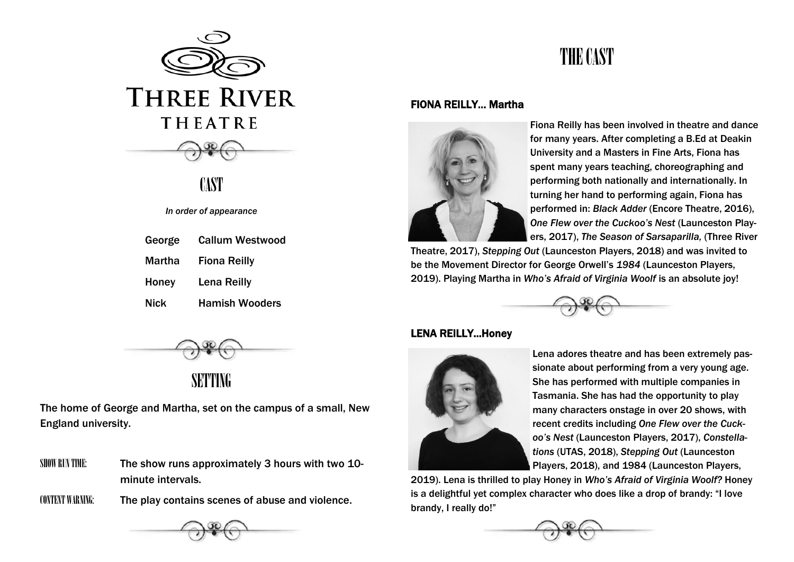

**CAST** 

#### *In order of appearance*

| George | <b>Callum Westwood</b> |
|--------|------------------------|
| Martha | <b>Fiona Reilly</b>    |
| Honey  | <b>Lena Reilly</b>     |
| Nick   | <b>Hamish Wooders</b>  |



### SETTING

The home of George and Martha, set on the campus of a small, New England university.

- SHOW RUN TIME: The show runs approximately 3 hours with two 10minute intervals.
- CONTENT WARNING: The play contains scenes of abuse and violence.



### THE CAST

#### FIONA REILLY… Martha



Fiona Reilly has been involved in theatre and dance for many years. After completing a B.Ed at Deakin University and a Masters in Fine Arts, Fiona has spent many years teaching, choreographing and performing both nationally and internationally. In turning her hand to performing again, Fiona has performed in: *Black Adder* (Encore Theatre, 2016), *One Flew over the Cuckoo's Nest* (Launceston Players, 2017), *The Season of Sarsaparilla,* (Three River

Theatre, 2017), *Stepping Out* (Launceston Players, 2018) and was invited to be the Movement Director for George Orwell's *1984* (Launceston Players, 2019). Playing Martha in *Who's Afraid of Virginia Woolf* is an absolute joy!



#### LENA REILLY...Honey



Lena adores theatre and has been extremely passionate about performing from a very young age. She has performed with multiple companies in Tasmania. She has had the opportunity to play many characters onstage in over 20 shows, with recent credits including *One Flew over the Cuckoo's Nest* (Launceston Players, 2017), *Constellations* (UTAS, 2018), *Stepping Out* (Launceston Players, 2018), and 1984 (Launceston Players,

2019). Lena is thrilled to play Honey in *Who's Afraid of Virginia Woolf?* Honey is a delightful yet complex character who does like a drop of brandy: "I love brandy, I really do!"

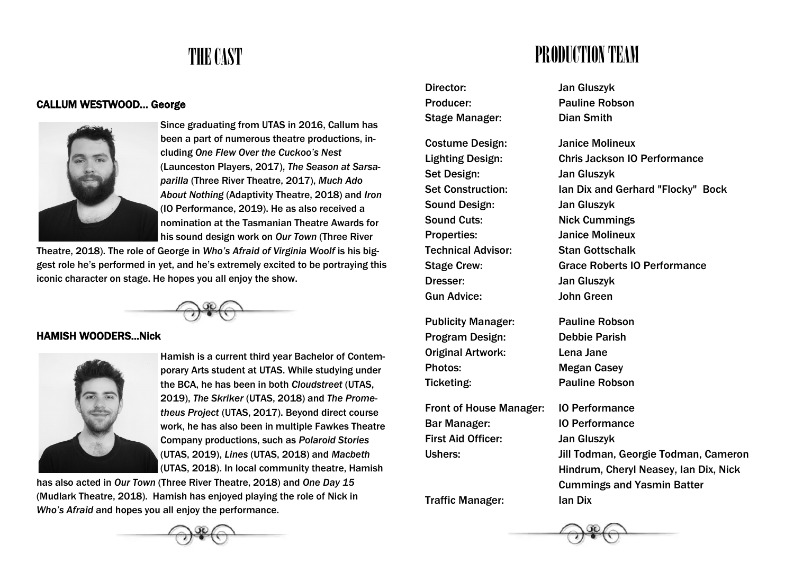## THE CAST

#### CALLUM WESTWOOD… George



Since graduating from UTAS in 2016, Callum has been a part of numerous theatre productions, including *One Flew Over the Cuckoo's Nest*  (Launceston Players, 2017), *The Season at Sarsaparilla* (Three River Theatre, 2017), *Much Ado About Nothing* (Adaptivity Theatre, 2018) and *Iron*  (IO Performance, 2019). He as also received a nomination at the Tasmanian Theatre Awards for his sound design work on *Our Town* (Three River

Theatre, 2018). The role of George in *Who's Afraid of Virginia Woolf* is his biggest role he's performed in yet, and he's extremely excited to be portraying this iconic character on stage. He hopes you all enjoy the show.



#### HAMISH WOODERS...Nick



Hamish is a current third year Bachelor of Contemporary Arts student at UTAS. While studying under the BCA, he has been in both *Cloudstreet* (UTAS, 2019), *The Skriker* (UTAS, 2018) and *The Prometheus Project* (UTAS, 2017). Beyond direct course work, he has also been in multiple Fawkes Theatre Company productions, such as *Polaroid Stories* (UTAS, 2019), *Lines* (UTAS, 2018) and *Macbeth* (UTAS, 2018). In local community theatre, Hamish

has also acted in *Our Town* (Three River Theatre, 2018) and *One Day 15*  (Mudlark Theatre, 2018). Hamish has enjoyed playing the role of Nick in *Who's Afraid* and hopes you all enjoy the performance.



### PRODUCTION TEAM

Director: Jan Gluszyk Producer: Pauline Robson Stage Manager: Dian Smith Costume Design: Janice Molineux Set Design: Jan Gluszyk Sound Design: Jan Gluszyk Sound Cuts: Nick Cummings Properties: Janice Molineux Technical Advisor: Stan Gottschalk

Publicity Manager: Pauline Robson Program Design: Debbie Parish Original Artwork: Lena Jane Photos: Megan Casey Ticketing: Pauline Robson

Front of House Manager: IO Performance Bar Manager: IO Performance First Aid Officer: Jan Gluszyk

Lighting Design: Chris Jackson IO Performance Set Construction: Ian Dix and Gerhard "Flocky" Bock Stage Crew: Grace Roberts IO Performance Dresser: Jan Gluszyk Gun Advice: John Green

Ushers: Jill Todman, Georgie Todman, Cameron Hindrum, Cheryl Neasey, Ian Dix, Nick Cummings and Yasmin Batter Traffic Manager: Ian Dix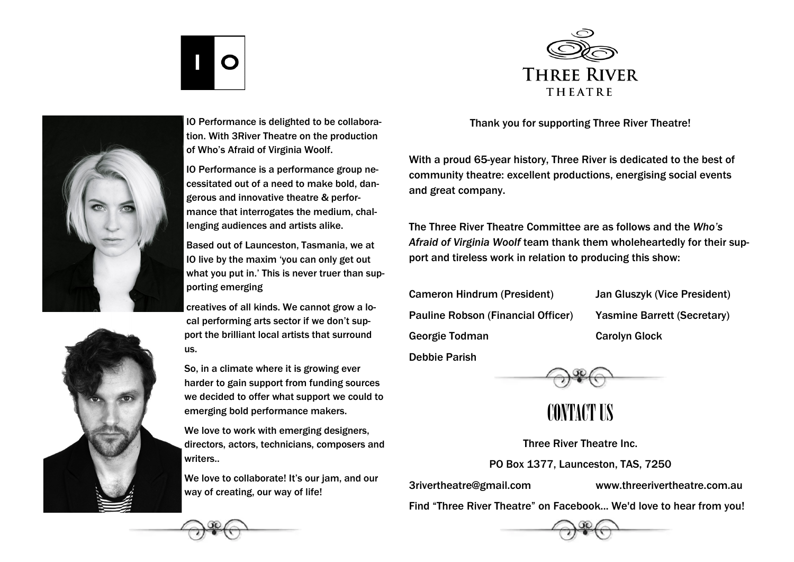



IO Performance is delighted to be collaboration. With 3River Theatre on the production of Who's Afraid of Virginia Woolf.

IO Performance is a performance group necessitated out of a need to make bold, dangerous and innovative theatre & performance that interrogates the medium, challenging audiences and artists alike.

Based out of Launceston, Tasmania, we at IO live by the maxim 'you can only get out what you put in.' This is never truer than supporting emerging

creatives of all kinds. We cannot grow a local performing arts sector if we don't support the brilliant local artists that surround us.

So, in a climate where it is growing ever harder to gain support from funding sources we decided to offer what support we could to emerging bold performance makers.

We love to work with emerging designers, directors, actors, technicians, composers and writers..

We love to collaborate! It's our jam, and our way of creating, our way of life!



Thank you for supporting Three River Theatre!

With a proud 65-year history, Three River is dedicated to the best of community theatre: excellent productions, energising social events and great company.

The Three River Theatre Committee are as follows and the *Who's Afraid of Virginia Woolf* team thank them wholeheartedly for their support and tireless work in relation to producing this show:

Cameron Hindrum (President) Jan Gluszyk (Vice President) Pauline Robson (Financial Officer) Yasmine Barrett (Secretary) Georgie Todman Carolyn Glock

Debbie Parish

CONTACT US

Three River Theatre Inc. PO Box 1377, Launceston, TAS, 7250

3rivertheatre@gmail.com www.threerivertheatre.com.au

Find "Three River Theatre" on Facebook... We'd love to hear from you!